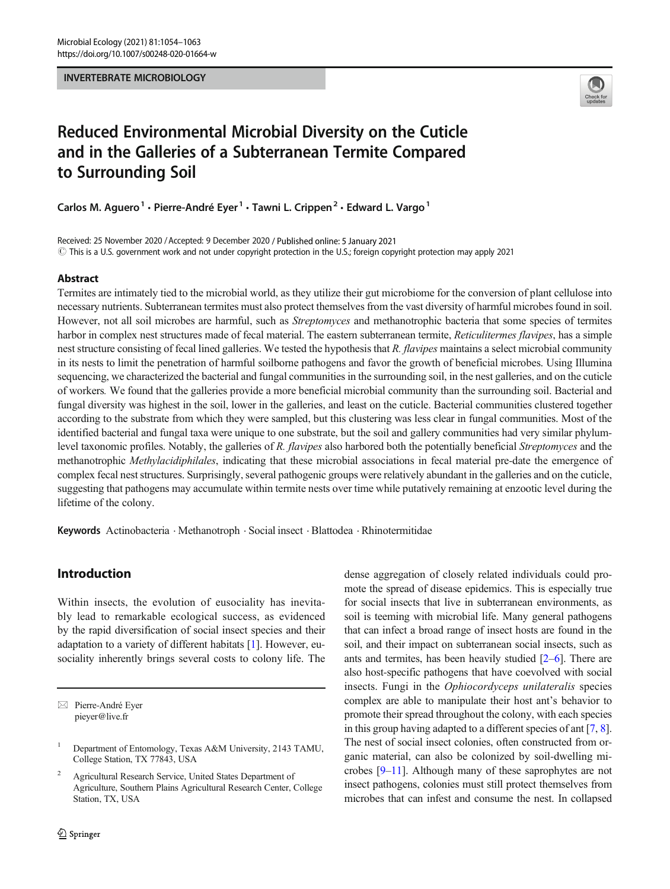#### INVERTEBRATE MICROBIOLOGY



# Reduced Environmental Microbial Diversity on the Cuticle and in the Galleries of a Subterranean Termite Compared to Surrounding Soil

Carlos M. Aguero<sup>1</sup> · Pierre-André Eyer<sup>1</sup> · Tawni L. Crippen<sup>2</sup> · Edward L. Vargo<sup>1</sup>

Received: 25 November 2020 /Accepted: 9 December 2020 / Published online: 5 January 2021  $\odot$  This is a U.S. government work and not under copyright protection in the U.S.; foreign copyright protection may apply 2021

## Abstract

Termites are intimately tied to the microbial world, as they utilize their gut microbiome for the conversion of plant cellulose into necessary nutrients. Subterranean termites must also protect themselves from the vast diversity of harmful microbes found in soil. However, not all soil microbes are harmful, such as *Streptomyces* and methanotrophic bacteria that some species of termites harbor in complex nest structures made of fecal material. The eastern subterranean termite, Reticulitermes flavipes, has a simple nest structure consisting of fecal lined galleries. We tested the hypothesis that R. flavipes maintains a select microbial community in its nests to limit the penetration of harmful soilborne pathogens and favor the growth of beneficial microbes. Using Illumina sequencing, we characterized the bacterial and fungal communities in the surrounding soil, in the nest galleries, and on the cuticle of workers. We found that the galleries provide a more beneficial microbial community than the surrounding soil. Bacterial and fungal diversity was highest in the soil, lower in the galleries, and least on the cuticle. Bacterial communities clustered together according to the substrate from which they were sampled, but this clustering was less clear in fungal communities. Most of the identified bacterial and fungal taxa were unique to one substrate, but the soil and gallery communities had very similar phylumlevel taxonomic profiles. Notably, the galleries of R. *flavipes* also harbored both the potentially beneficial *Streptomyces* and the methanotrophic Methylacidiphilales, indicating that these microbial associations in fecal material pre-date the emergence of complex fecal nest structures. Surprisingly, several pathogenic groups were relatively abundant in the galleries and on the cuticle, suggesting that pathogens may accumulate within termite nests over time while putatively remaining at enzootic level during the lifetime of the colony.

Keywords Actinobacteria . Methanotroph . Social insect . Blattodea . Rhinotermitidae

# Introduction

Within insects, the evolution of eusociality has inevitably lead to remarkable ecological success, as evidenced by the rapid diversification of social insect species and their adaptation to a variety of different habitats [[1\]](#page-7-0). However, eusociality inherently brings several costs to colony life. The

 $\boxtimes$  Pierre-André Eyer [pieyer@live.fr](mailto:pieyer@live.fr)

<sup>2</sup> Agricultural Research Service, United States Department of Agriculture, Southern Plains Agricultural Research Center, College Station, TX, USA

dense aggregation of closely related individuals could promote the spread of disease epidemics. This is especially true for social insects that live in subterranean environments, as soil is teeming with microbial life. Many general pathogens that can infect a broad range of insect hosts are found in the soil, and their impact on subterranean social insects, such as ants and termites, has been heavily studied [\[2](#page-7-0)–[6\]](#page-7-0). There are also host-specific pathogens that have coevolved with social insects. Fungi in the Ophiocordyceps unilateralis species complex are able to manipulate their host ant's behavior to promote their spread throughout the colony, with each species in this group having adapted to a different species of ant [\[7](#page-8-0), [8\]](#page-8-0). The nest of social insect colonies, often constructed from organic material, can also be colonized by soil-dwelling microbes [\[9](#page-8-0)–[11\]](#page-8-0). Although many of these saprophytes are not insect pathogens, colonies must still protect themselves from microbes that can infest and consume the nest. In collapsed

<sup>&</sup>lt;sup>1</sup> Department of Entomology, Texas A&M University, 2143 TAMU, College Station, TX 77843, USA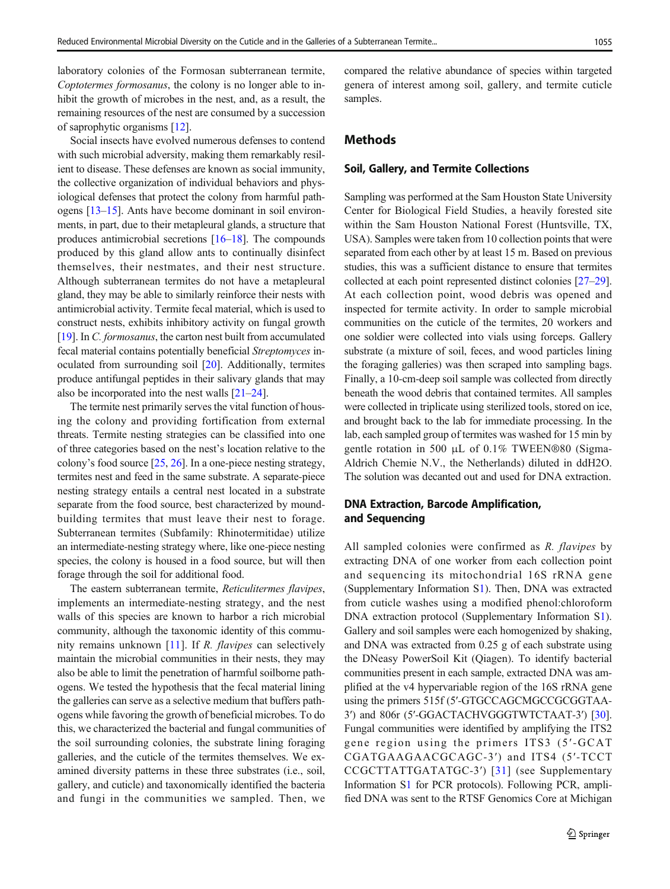laboratory colonies of the Formosan subterranean termite, Coptotermes formosanus, the colony is no longer able to inhibit the growth of microbes in the nest, and, as a result, the remaining resources of the nest are consumed by a succession of saprophytic organisms [\[12\]](#page-8-0).

Social insects have evolved numerous defenses to contend with such microbial adversity, making them remarkably resilient to disease. These defenses are known as social immunity, the collective organization of individual behaviors and physiological defenses that protect the colony from harmful pathogens [\[13](#page-8-0)–[15](#page-8-0)]. Ants have become dominant in soil environments, in part, due to their metapleural glands, a structure that produces antimicrobial secretions [\[16](#page-8-0)–[18\]](#page-8-0). The compounds produced by this gland allow ants to continually disinfect themselves, their nestmates, and their nest structure. Although subterranean termites do not have a metapleural gland, they may be able to similarly reinforce their nests with antimicrobial activity. Termite fecal material, which is used to construct nests, exhibits inhibitory activity on fungal growth [\[19\]](#page-8-0). In *C. formosanus*, the carton nest built from accumulated fecal material contains potentially beneficial Streptomyces inoculated from surrounding soil [[20\]](#page-8-0). Additionally, termites produce antifungal peptides in their salivary glands that may also be incorporated into the nest walls [[21](#page-8-0)–[24](#page-8-0)].

The termite nest primarily serves the vital function of housing the colony and providing fortification from external threats. Termite nesting strategies can be classified into one of three categories based on the nest's location relative to the colony's food source [\[25](#page-8-0), [26\]](#page-8-0). In a one-piece nesting strategy, termites nest and feed in the same substrate. A separate-piece nesting strategy entails a central nest located in a substrate separate from the food source, best characterized by moundbuilding termites that must leave their nest to forage. Subterranean termites (Subfamily: Rhinotermitidae) utilize an intermediate-nesting strategy where, like one-piece nesting species, the colony is housed in a food source, but will then forage through the soil for additional food.

The eastern subterranean termite, Reticulitermes flavipes, implements an intermediate-nesting strategy, and the nest walls of this species are known to harbor a rich microbial community, although the taxonomic identity of this commu-nity remains unknown [[11\]](#page-8-0). If R. *flavipes* can selectively maintain the microbial communities in their nests, they may also be able to limit the penetration of harmful soilborne pathogens. We tested the hypothesis that the fecal material lining the galleries can serve as a selective medium that buffers pathogens while favoring the growth of beneficial microbes. To do this, we characterized the bacterial and fungal communities of the soil surrounding colonies, the substrate lining foraging galleries, and the cuticle of the termites themselves. We examined diversity patterns in these three substrates (i.e., soil, gallery, and cuticle) and taxonomically identified the bacteria and fungi in the communities we sampled. Then, we

compared the relative abundance of species within targeted genera of interest among soil, gallery, and termite cuticle samples.

# Methods

#### Soil, Gallery, and Termite Collections

Sampling was performed at the Sam Houston State University Center for Biological Field Studies, a heavily forested site within the Sam Houston National Forest (Huntsville, TX, USA). Samples were taken from 10 collection points that were separated from each other by at least 15 m. Based on previous studies, this was a sufficient distance to ensure that termites collected at each point represented distinct colonies [\[27](#page-8-0)–[29\]](#page-8-0). At each collection point, wood debris was opened and inspected for termite activity. In order to sample microbial communities on the cuticle of the termites, 20 workers and one soldier were collected into vials using forceps. Gallery substrate (a mixture of soil, feces, and wood particles lining the foraging galleries) was then scraped into sampling bags. Finally, a 10-cm-deep soil sample was collected from directly beneath the wood debris that contained termites. All samples were collected in triplicate using sterilized tools, stored on ice, and brought back to the lab for immediate processing. In the lab, each sampled group of termites was washed for 15 min by gentle rotation in 500 μL of 0.1% TWEEN®80 (Sigma-Aldrich Chemie N.V., the Netherlands) diluted in ddH2O. The solution was decanted out and used for DNA extraction.

# DNA Extraction, Barcode Amplification, and Sequencing

All sampled colonies were confirmed as R. flavipes by extracting DNA of one worker from each collection point and sequencing its mitochondrial 16S rRNA gene (Supplementary Information S1). Then, DNA was extracted from cuticle washes using a modified phenol:chloroform DNA extraction protocol (Supplementary Information S1). Gallery and soil samples were each homogenized by shaking, and DNA was extracted from 0.25 g of each substrate using the DNeasy PowerSoil Kit (Qiagen). To identify bacterial communities present in each sample, extracted DNA was amplified at the v4 hypervariable region of the 16S rRNA gene using the primers 515f (5′-GTGCCAGCMGCCGCGGTAA-3′) and 806r (5′-GGACTACHVGGGTWTCTAAT-3′) [[30\]](#page-8-0). Fungal communities were identified by amplifying the ITS2 gene region using the primers ITS3 (5′-GCAT CGATGAAGAACGCAGC-3′) and ITS4 (5′-TCCT CCGCTTATTGATATGC-3′) [\[31](#page-8-0)] (see Supplementary Information S1 for PCR protocols). Following PCR, amplified DNA was sent to the RTSF Genomics Core at Michigan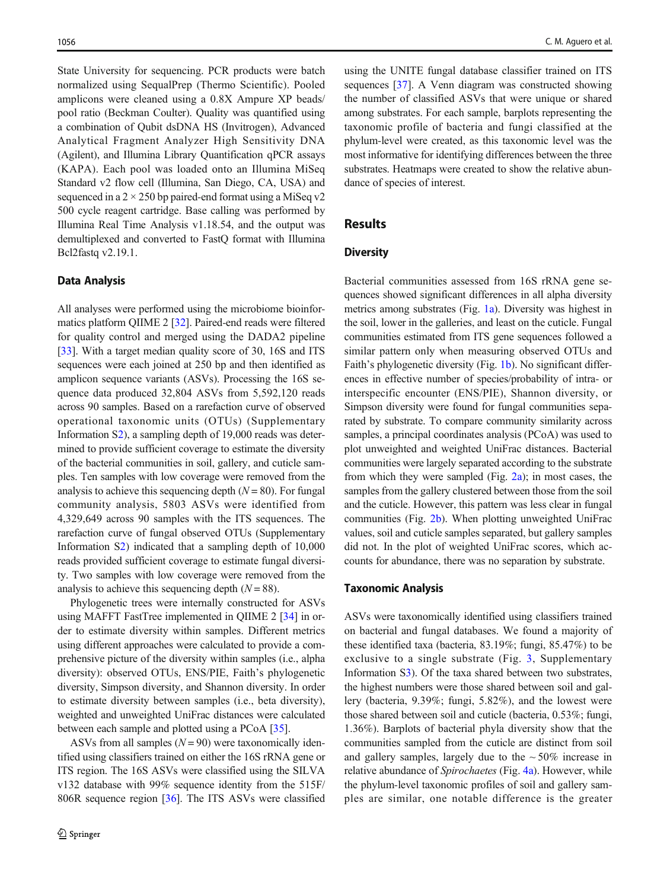State University for sequencing. PCR products were batch normalized using SequalPrep (Thermo Scientific). Pooled amplicons were cleaned using a 0.8X Ampure XP beads/ pool ratio (Beckman Coulter). Quality was quantified using a combination of Qubit dsDNA HS (Invitrogen), Advanced Analytical Fragment Analyzer High Sensitivity DNA (Agilent), and Illumina Library Quantification qPCR assays (KAPA). Each pool was loaded onto an Illumina MiSeq Standard v2 flow cell (Illumina, San Diego, CA, USA) and sequenced in a  $2 \times 250$  bp paired-end format using a MiSeq v2 500 cycle reagent cartridge. Base calling was performed by Illumina Real Time Analysis v1.18.54, and the output was demultiplexed and converted to FastQ format with Illumina Bcl2fastq v2.19.1.

#### Data Analysis

All analyses were performed using the microbiome bioinformatics platform QIIME 2 [\[32](#page-8-0)]. Paired-end reads were filtered for quality control and merged using the DADA2 pipeline [\[33\]](#page-8-0). With a target median quality score of 30, 16S and ITS sequences were each joined at 250 bp and then identified as amplicon sequence variants (ASVs). Processing the 16S sequence data produced 32,804 ASVs from 5,592,120 reads across 90 samples. Based on a rarefaction curve of observed operational taxonomic units (OTUs) (Supplementary Information S2), a sampling depth of 19,000 reads was determined to provide sufficient coverage to estimate the diversity of the bacterial communities in soil, gallery, and cuticle samples. Ten samples with low coverage were removed from the analysis to achieve this sequencing depth  $(N = 80)$ . For fungal community analysis, 5803 ASVs were identified from 4,329,649 across 90 samples with the ITS sequences. The rarefaction curve of fungal observed OTUs (Supplementary Information S2) indicated that a sampling depth of 10,000 reads provided sufficient coverage to estimate fungal diversity. Two samples with low coverage were removed from the analysis to achieve this sequencing depth  $(N = 88)$ .

Phylogenetic trees were internally constructed for ASVs using MAFFT FastTree implemented in QIIME 2 [[34\]](#page-8-0) in order to estimate diversity within samples. Different metrics using different approaches were calculated to provide a comprehensive picture of the diversity within samples (i.e., alpha diversity): observed OTUs, ENS/PIE, Faith's phylogenetic diversity, Simpson diversity, and Shannon diversity. In order to estimate diversity between samples (i.e., beta diversity), weighted and unweighted UniFrac distances were calculated between each sample and plotted using a PCoA [\[35\]](#page-8-0).

ASVs from all samples  $(N = 90)$  were taxonomically identified using classifiers trained on either the 16S rRNA gene or ITS region. The 16S ASVs were classified using the SILVA v132 database with 99% sequence identity from the 515F/ 806R sequence region [\[36\]](#page-8-0). The ITS ASVs were classified

using the UNITE fungal database classifier trained on ITS sequences [[37](#page-8-0)]. A Venn diagram was constructed showing the number of classified ASVs that were unique or shared among substrates. For each sample, barplots representing the taxonomic profile of bacteria and fungi classified at the phylum-level were created, as this taxonomic level was the most informative for identifying differences between the three substrates. Heatmaps were created to show the relative abundance of species of interest.

### Results

#### **Diversity**

Bacterial communities assessed from 16S rRNA gene sequences showed significant differences in all alpha diversity metrics among substrates (Fig. [1a](#page-3-0)). Diversity was highest in the soil, lower in the galleries, and least on the cuticle. Fungal communities estimated from ITS gene sequences followed a similar pattern only when measuring observed OTUs and Faith's phylogenetic diversity (Fig. [1b\)](#page-3-0). No significant differences in effective number of species/probability of intra- or interspecific encounter (ENS/PIE), Shannon diversity, or Simpson diversity were found for fungal communities separated by substrate. To compare community similarity across samples, a principal coordinates analysis (PCoA) was used to plot unweighted and weighted UniFrac distances. Bacterial communities were largely separated according to the substrate from which they were sampled (Fig.  $2a$ ); in most cases, the samples from the gallery clustered between those from the soil and the cuticle. However, this pattern was less clear in fungal communities (Fig. [2b](#page-4-0)). When plotting unweighted UniFrac values, soil and cuticle samples separated, but gallery samples did not. In the plot of weighted UniFrac scores, which accounts for abundance, there was no separation by substrate.

### Taxonomic Analysis

ASVs were taxonomically identified using classifiers trained on bacterial and fungal databases. We found a majority of these identified taxa (bacteria, 83.19%; fungi, 85.47%) to be exclusive to a single substrate (Fig. [3](#page-4-0), Supplementary Information S3). Of the taxa shared between two substrates, the highest numbers were those shared between soil and gallery (bacteria, 9.39%; fungi, 5.82%), and the lowest were those shared between soil and cuticle (bacteria, 0.53%; fungi, 1.36%). Barplots of bacterial phyla diversity show that the communities sampled from the cuticle are distinct from soil and gallery samples, largely due to the  $\sim$  50% increase in relative abundance of Spirochaetes (Fig. [4a](#page-5-0)). However, while the phylum-level taxonomic profiles of soil and gallery samples are similar, one notable difference is the greater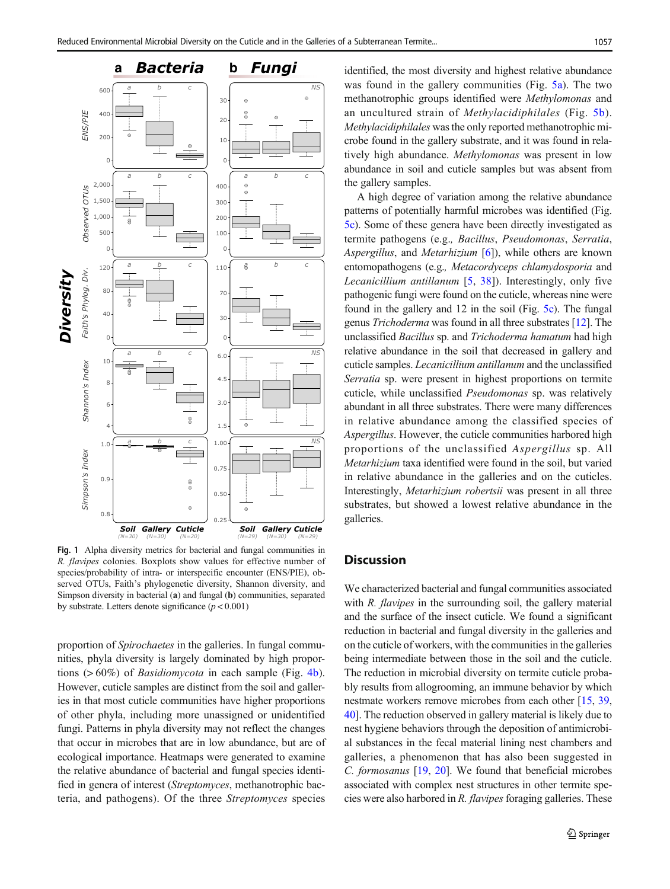<span id="page-3-0"></span>

Fig. 1 Alpha diversity metrics for bacterial and fungal communities in R. flavipes colonies. Boxplots show values for effective number of species/probability of intra- or interspecific encounter (ENS/PIE), observed OTUs, Faith's phylogenetic diversity, Shannon diversity, and Simpson diversity in bacterial (a) and fungal (b) communities, separated by substrate. Letters denote significance  $(p < 0.001)$ 

proportion of Spirochaetes in the galleries. In fungal communities, phyla diversity is largely dominated by high proportions (> 60%) of Basidiomycota in each sample (Fig. [4b](#page-5-0)). However, cuticle samples are distinct from the soil and galleries in that most cuticle communities have higher proportions of other phyla, including more unassigned or unidentified fungi. Patterns in phyla diversity may not reflect the changes that occur in microbes that are in low abundance, but are of ecological importance. Heatmaps were generated to examine the relative abundance of bacterial and fungal species identified in genera of interest (Streptomyces, methanotrophic bacteria, and pathogens). Of the three Streptomyces species identified, the most diversity and highest relative abundance was found in the gallery communities (Fig. [5a](#page-6-0)). The two methanotrophic groups identified were Methylomonas and an uncultured strain of Methylacidiphilales (Fig. [5b](#page-6-0)). Methylacidiphilales was the only reported methanotrophic microbe found in the gallery substrate, and it was found in relatively high abundance. Methylomonas was present in low abundance in soil and cuticle samples but was absent from the gallery samples.

A high degree of variation among the relative abundance patterns of potentially harmful microbes was identified (Fig. [5c](#page-6-0)). Some of these genera have been directly investigated as termite pathogens (e.g., Bacillus, Pseudomonas, Serratia, Aspergillus, and *Metarhizium* [\[6](#page-7-0)]), while others are known entomopathogens (e.g., Metacordyceps chlamydosporia and Lecanicillium antillanum [[5,](#page-7-0) [38](#page-8-0)]). Interestingly, only five pathogenic fungi were found on the cuticle, whereas nine were found in the gallery and 12 in the soil (Fig. [5c](#page-6-0)). The fungal genus Trichoderma was found in all three substrates [[12](#page-8-0)]. The unclassified Bacillus sp. and Trichoderma hamatum had high relative abundance in the soil that decreased in gallery and cuticle samples. Lecanicillium antillanum and the unclassified Serratia sp. were present in highest proportions on termite cuticle, while unclassified Pseudomonas sp. was relatively abundant in all three substrates. There were many differences in relative abundance among the classified species of Aspergillus. However, the cuticle communities harbored high proportions of the unclassified Aspergillus sp. All Metarhizium taxa identified were found in the soil, but varied in relative abundance in the galleries and on the cuticles. Interestingly, Metarhizium robertsii was present in all three substrates, but showed a lowest relative abundance in the galleries.

## **Discussion**

We characterized bacterial and fungal communities associated with R. *flavipes* in the surrounding soil, the gallery material and the surface of the insect cuticle. We found a significant reduction in bacterial and fungal diversity in the galleries and on the cuticle of workers, with the communities in the galleries being intermediate between those in the soil and the cuticle. The reduction in microbial diversity on termite cuticle probably results from allogrooming, an immune behavior by which nestmate workers remove microbes from each other [[15,](#page-8-0) [39,](#page-8-0) [40\]](#page-8-0). The reduction observed in gallery material is likely due to nest hygiene behaviors through the deposition of antimicrobial substances in the fecal material lining nest chambers and galleries, a phenomenon that has also been suggested in C. formosanus [\[19,](#page-8-0) [20\]](#page-8-0). We found that beneficial microbes associated with complex nest structures in other termite species were also harbored in R. *flavipes* foraging galleries. These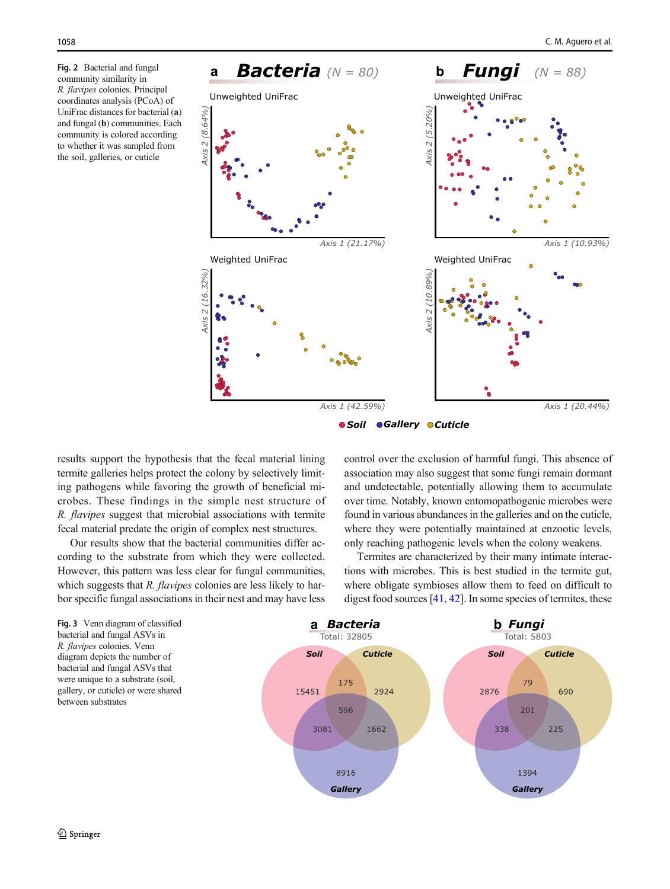community similarity in R. flavipes colonies. Principal coordinates analysis (PCoA) of UniFrac distances for bacterial (a) and fungal (b) communities. Each community is colored according to whether it was sampled from the soil, galleries, or cuticle

<span id="page-4-0"></span>

*Soil Gallery Cuticle*

results support the hypothesis that the fecal material lining termite galleries helps protect the colony by selectively limiting pathogens while favoring the growth of beneficial microbes. These findings in the simple nest structure of R. flavipes suggest that microbial associations with termite fecal material predate the origin of complex nest structures.

Our results show that the bacterial communities differ according to the substrate from which they were collected. However, this pattern was less clear for fungal communities, which suggests that  $R$ . *flavipes* colonies are less likely to harbor specific fungal associations in their nest and may have less control over the exclusion of harmful fungi. This absence of association may also suggest that some fungi remain dormant and undetectable, potentially allowing them to accumulate over time. Notably, known entomopathogenic microbes were found in various abundances in the galleries and on the cuticle, where they were potentially maintained at enzootic levels, only reaching pathogenic levels when the colony weakens.

Termites are characterized by their many intimate interactions with microbes. This is best studied in the termite gut, where obligate symbioses allow them to feed on difficult to digest food sources  $[41, 42]$  $[41, 42]$  $[41, 42]$  $[41, 42]$ . In some species of termites, these

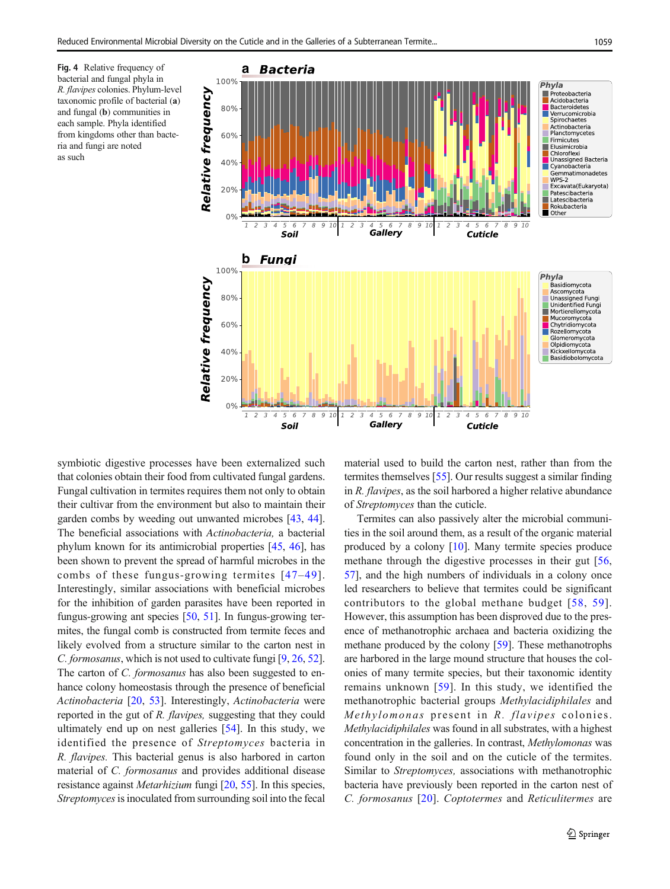<span id="page-5-0"></span>**Fig. 4** Relative frequency of bacterial and fungal phyla in 100% bacterial and fungal phyla in R. flavipes colonies. Phylum-level taxonomic profile of bacterial (a) and fungal (b) communities in each sample. Phyla identified from kingdoms other than bacteria and fungi are noted as such



symbiotic digestive processes have been externalized such that colonies obtain their food from cultivated fungal gardens. Fungal cultivation in termites requires them not only to obtain their cultivar from the environment but also to maintain their garden combs by weeding out unwanted microbes [\[43,](#page-8-0) [44\]](#page-8-0). The beneficial associations with Actinobacteria, a bacterial phylum known for its antimicrobial properties [[45](#page-8-0), [46](#page-8-0)], has been shown to prevent the spread of harmful microbes in the combs of these fungus-growing termites [[47](#page-8-0)–[49\]](#page-9-0). Interestingly, similar associations with beneficial microbes for the inhibition of garden parasites have been reported in fungus-growing ant species  $[50, 51]$  $[50, 51]$  $[50, 51]$ . In fungus-growing termites, the fungal comb is constructed from termite feces and likely evolved from a structure similar to the carton nest in C. formosanus, which is not used to cultivate fungi [\[9](#page-8-0), [26](#page-8-0), [52\]](#page-9-0). The carton of *C. formosanus* has also been suggested to enhance colony homeostasis through the presence of beneficial Actinobacteria [\[20](#page-8-0), [53\]](#page-9-0). Interestingly, Actinobacteria were reported in the gut of R. flavipes, suggesting that they could ultimately end up on nest galleries [\[54](#page-9-0)]. In this study, we identified the presence of Streptomyces bacteria in R. flavipes. This bacterial genus is also harbored in carton material of C. formosanus and provides additional disease resistance against Metarhizium fungi [\[20](#page-8-0), [55\]](#page-9-0). In this species, Streptomyces is inoculated from surrounding soil into the fecal

material used to build the carton nest, rather than from the termites themselves [\[55](#page-9-0)]. Our results suggest a similar finding in R. flavipes, as the soil harbored a higher relative abundance of Streptomyces than the cuticle.

Termites can also passively alter the microbial communities in the soil around them, as a result of the organic material produced by a colony [\[10](#page-8-0)]. Many termite species produce methane through the digestive processes in their gut [[56,](#page-9-0) [57\]](#page-9-0), and the high numbers of individuals in a colony once led researchers to believe that termites could be significant contributors to the global methane budget [[58,](#page-9-0) [59\]](#page-9-0). However, this assumption has been disproved due to the presence of methanotrophic archaea and bacteria oxidizing the methane produced by the colony [[59\]](#page-9-0). These methanotrophs are harbored in the large mound structure that houses the colonies of many termite species, but their taxonomic identity remains unknown [\[59\]](#page-9-0). In this study, we identified the methanotrophic bacterial groups Methylacidiphilales and Methylomonas present in R. flavipes colonies. Methylacidiphilales was found in all substrates, with a highest concentration in the galleries. In contrast, Methylomonas was found only in the soil and on the cuticle of the termites. Similar to Streptomyces, associations with methanotrophic bacteria have previously been reported in the carton nest of C. formosanus [\[20\]](#page-8-0). Coptotermes and Reticulitermes are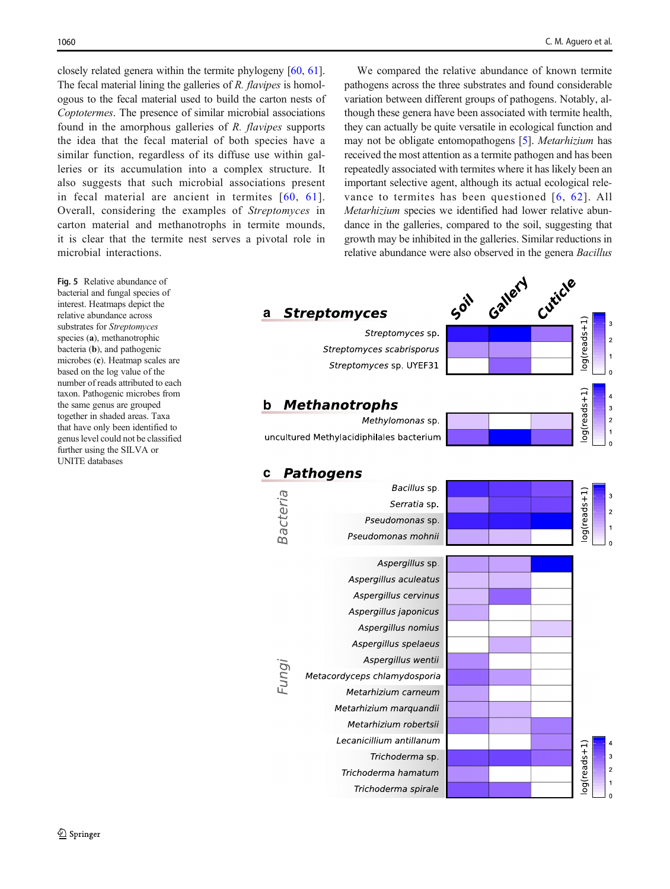<span id="page-6-0"></span>closely related genera within the termite phylogeny [[60](#page-9-0), [61\]](#page-9-0). The fecal material lining the galleries of R. flavipes is homologous to the fecal material used to build the carton nests of Coptotermes. The presence of similar microbial associations found in the amorphous galleries of R. flavipes supports the idea that the fecal material of both species have a similar function, regardless of its diffuse use within galleries or its accumulation into a complex structure. It also suggests that such microbial associations present in fecal material are ancient in termites [[60](#page-9-0), [61\]](#page-9-0). Overall, considering the examples of Streptomyces in carton material and methanotrophs in termite mounds, it is clear that the termite nest serves a pivotal role in microbial interactions.

Fig. 5 Relative abundance of bacterial and fungal species of interest. Heatmaps depict the relative abundance across substrates for Streptomyces species (a), methanotrophic bacteria (b), and pathogenic microbes (c). Heatmap scales are based on the log value of the number of reads attributed to each taxon. Pathogenic microbes from the same genus are grouped together in shaded areas. Taxa that have only been identified to genus level could not be classified further using the SILVA or UNITE databases

We compared the relative abundance of known termite pathogens across the three substrates and found considerable variation between different groups of pathogens. Notably, although these genera have been associated with termite health, they can actually be quite versatile in ecological function and may not be obligate entomopathogens [\[5](#page-7-0)]. Metarhizium has received the most attention as a termite pathogen and has been repeatedly associated with termites where it has likely been an important selective agent, although its actual ecological relevance to termites has been questioned [[6](#page-7-0), [62\]](#page-9-0). All Metarhizium species we identified had lower relative abundance in the galleries, compared to the soil, suggesting that growth may be inhibited in the galleries. Similar reductions in relative abundance were also observed in the genera Bacillus

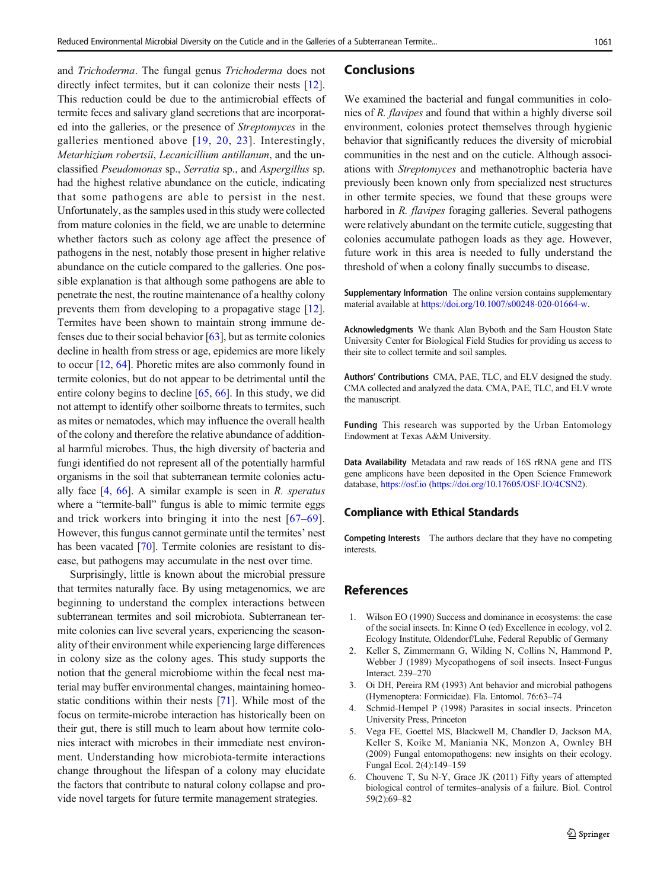<span id="page-7-0"></span>and Trichoderma. The fungal genus Trichoderma does not directly infect termites, but it can colonize their nests [[12](#page-8-0)]. This reduction could be due to the antimicrobial effects of termite feces and salivary gland secretions that are incorporated into the galleries, or the presence of Streptomyces in the galleries mentioned above [[19,](#page-8-0) [20](#page-8-0), [23](#page-8-0)]. Interestingly, Metarhizium robertsii, Lecanicillium antillanum, and the unclassified Pseudomonas sp., Serratia sp., and Aspergillus sp. had the highest relative abundance on the cuticle, indicating that some pathogens are able to persist in the nest. Unfortunately, as the samples used in this study were collected from mature colonies in the field, we are unable to determine whether factors such as colony age affect the presence of pathogens in the nest, notably those present in higher relative abundance on the cuticle compared to the galleries. One possible explanation is that although some pathogens are able to penetrate the nest, the routine maintenance of a healthy colony prevents them from developing to a propagative stage [[12\]](#page-8-0). Termites have been shown to maintain strong immune defenses due to their social behavior [[63\]](#page-9-0), but as termite colonies decline in health from stress or age, epidemics are more likely to occur [\[12](#page-8-0), [64](#page-9-0)]. Phoretic mites are also commonly found in termite colonies, but do not appear to be detrimental until the entire colony begins to decline [\[65](#page-9-0), [66\]](#page-9-0). In this study, we did not attempt to identify other soilborne threats to termites, such as mites or nematodes, which may influence the overall health of the colony and therefore the relative abundance of additional harmful microbes. Thus, the high diversity of bacteria and fungi identified do not represent all of the potentially harmful organisms in the soil that subterranean termite colonies actually face  $[4, 66]$  $[4, 66]$  $[4, 66]$ . A similar example is seen in R. speratus where a "termite-ball" fungus is able to mimic termite eggs and trick workers into bringing it into the nest [[67](#page-9-0)–[69](#page-9-0)]. However, this fungus cannot germinate until the termites' nest has been vacated [\[70\]](#page-9-0). Termite colonies are resistant to disease, but pathogens may accumulate in the nest over time.

Surprisingly, little is known about the microbial pressure that termites naturally face. By using metagenomics, we are beginning to understand the complex interactions between subterranean termites and soil microbiota. Subterranean termite colonies can live several years, experiencing the seasonality of their environment while experiencing large differences in colony size as the colony ages. This study supports the notion that the general microbiome within the fecal nest material may buffer environmental changes, maintaining homeostatic conditions within their nests [[71\]](#page-9-0). While most of the focus on termite-microbe interaction has historically been on their gut, there is still much to learn about how termite colonies interact with microbes in their immediate nest environment. Understanding how microbiota-termite interactions change throughout the lifespan of a colony may elucidate the factors that contribute to natural colony collapse and provide novel targets for future termite management strategies.

#### Conclusions

We examined the bacterial and fungal communities in colonies of R. flavipes and found that within a highly diverse soil environment, colonies protect themselves through hygienic behavior that significantly reduces the diversity of microbial communities in the nest and on the cuticle. Although associations with Streptomyces and methanotrophic bacteria have previously been known only from specialized nest structures in other termite species, we found that these groups were harbored in R. flavipes foraging galleries. Several pathogens were relatively abundant on the termite cuticle, suggesting that colonies accumulate pathogen loads as they age. However, future work in this area is needed to fully understand the threshold of when a colony finally succumbs to disease.

Supplementary Information The online version contains supplementary material available at <https://doi.org/10.1007/s00248-020-01664-w>.

Acknowledgments We thank Alan Byboth and the Sam Houston State University Center for Biological Field Studies for providing us access to their site to collect termite and soil samples.

Authors' Contributions CMA, PAE, TLC, and ELV designed the study. CMA collected and analyzed the data. CMA, PAE, TLC, and ELV wrote the manuscript.

Funding This research was supported by the Urban Entomology Endowment at Texas A&M University.

Data Availability Metadata and raw reads of 16S rRNA gene and ITS gene amplicons have been deposited in the Open Science Framework database, <https://osf.io> [\(https://doi.org/10.17605/OSF.IO/4CSN2\)](https://doi.org/10.17605/OSF.IO/4CSN2).

#### Compliance with Ethical Standards

Competing Interests The authors declare that they have no competing interests.

## References

- 1. Wilson EO (1990) Success and dominance in ecosystems: the case of the social insects. In: Kinne O (ed) Excellence in ecology, vol 2. Ecology Institute, Oldendorf/Luhe, Federal Republic of Germany
- 2. Keller S, Zimmermann G, Wilding N, Collins N, Hammond P, Webber J (1989) Mycopathogens of soil insects. Insect-Fungus Interact. 239–270
- 3. Oi DH, Pereira RM (1993) Ant behavior and microbial pathogens (Hymenoptera: Formicidae). Fla. Entomol. 76:63–74
- 4. Schmid-Hempel P (1998) Parasites in social insects. Princeton University Press, Princeton
- 5. Vega FE, Goettel MS, Blackwell M, Chandler D, Jackson MA, Keller S, Koike M, Maniania NK, Monzon A, Ownley BH (2009) Fungal entomopathogens: new insights on their ecology. Fungal Ecol. 2(4):149–159
- 6. Chouvenc T, Su N-Y, Grace JK (2011) Fifty years of attempted biological control of termites–analysis of a failure. Biol. Control 59(2):69–82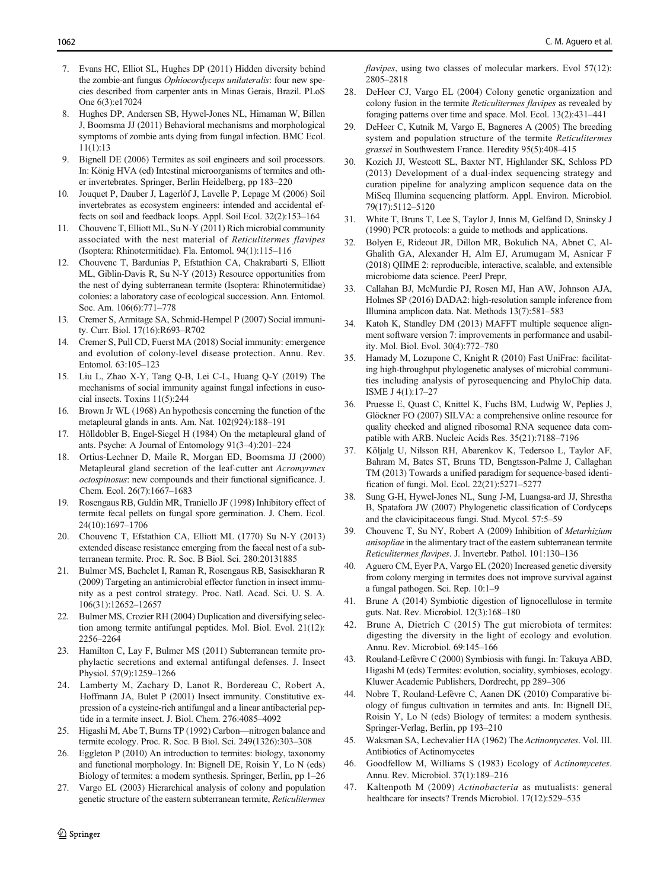- <span id="page-8-0"></span>7. Evans HC, Elliot SL, Hughes DP (2011) Hidden diversity behind the zombie-ant fungus Ophiocordyceps unilateralis: four new species described from carpenter ants in Minas Gerais, Brazil. PLoS One 6(3):e17024
- 8. Hughes DP, Andersen SB, Hywel-Jones NL, Himaman W, Billen J, Boomsma JJ (2011) Behavioral mechanisms and morphological symptoms of zombie ants dying from fungal infection. BMC Ecol. 11(1):13
- Bignell DE (2006) Termites as soil engineers and soil processors. In: König HVA (ed) Intestinal microorganisms of termites and other invertebrates. Springer, Berlin Heidelberg, pp 183–220
- 10. Jouquet P, Dauber J, Lagerlöf J, Lavelle P, Lepage M (2006) Soil invertebrates as ecosystem engineers: intended and accidental effects on soil and feedback loops. Appl. Soil Ecol. 32(2):153–164
- 11. Chouvenc T, Elliott ML, Su N-Y (2011) Rich microbial community associated with the nest material of Reticulitermes flavipes (Isoptera: Rhinotermitidae). Fla. Entomol. 94(1):115–116
- 12. Chouvenc T, Bardunias P, Efstathion CA, Chakrabarti S, Elliott ML, Giblin-Davis R, Su N-Y (2013) Resource opportunities from the nest of dying subterranean termite (Isoptera: Rhinotermitidae) colonies: a laboratory case of ecological succession. Ann. Entomol. Soc. Am. 106(6):771–778
- 13. Cremer S, Armitage SA, Schmid-Hempel P (2007) Social immunity. Curr. Biol. 17(16):R693–R702
- 14. Cremer S, Pull CD, Fuerst MA (2018) Social immunity: emergence and evolution of colony-level disease protection. Annu. Rev. Entomol. 63:105–123
- 15. Liu L, Zhao X-Y, Tang Q-B, Lei C-L, Huang Q-Y (2019) The mechanisms of social immunity against fungal infections in eusocial insects. Toxins 11(5):244
- 16. Brown Jr WL (1968) An hypothesis concerning the function of the metapleural glands in ants. Am. Nat. 102(924):188–191
- 17. Hölldobler B, Engel-Siegel H (1984) On the metapleural gland of ants. Psyche: A Journal of Entomology 91(3–4):201–224
- 18. Ortius-Lechner D, Maile R, Morgan ED, Boomsma JJ (2000) Metapleural gland secretion of the leaf-cutter ant Acromyrmex octospinosus: new compounds and their functional significance. J. Chem. Ecol. 26(7):1667–1683
- 19. Rosengaus RB, Guldin MR, Traniello JF (1998) Inhibitory effect of termite fecal pellets on fungal spore germination. J. Chem. Ecol. 24(10):1697–1706
- 20. Chouvenc T, Efstathion CA, Elliott ML (1770) Su N-Y (2013) extended disease resistance emerging from the faecal nest of a subterranean termite. Proc. R. Soc. B Biol. Sci. 280:20131885
- 21. Bulmer MS, Bachelet I, Raman R, Rosengaus RB, Sasisekharan R (2009) Targeting an antimicrobial effector function in insect immunity as a pest control strategy. Proc. Natl. Acad. Sci. U. S. A. 106(31):12652–12657
- 22. Bulmer MS, Crozier RH (2004) Duplication and diversifying selection among termite antifungal peptides. Mol. Biol. Evol. 21(12): 2256–2264
- 23. Hamilton C, Lay F, Bulmer MS (2011) Subterranean termite prophylactic secretions and external antifungal defenses. J. Insect Physiol. 57(9):1259–1266
- 24. Lamberty M, Zachary D, Lanot R, Bordereau C, Robert A, Hoffmann JA, Bulet P (2001) Insect immunity. Constitutive expression of a cysteine-rich antifungal and a linear antibacterial peptide in a termite insect. J. Biol. Chem. 276:4085–4092
- 25. Higashi M, Abe T, Burns TP (1992) Carbon—nitrogen balance and termite ecology. Proc. R. Soc. B Biol. Sci. 249(1326):303–308
- 26. Eggleton P (2010) An introduction to termites: biology, taxonomy and functional morphology. In: Bignell DE, Roisin Y, Lo N (eds) Biology of termites: a modern synthesis. Springer, Berlin, pp 1–26
- 27. Vargo EL (2003) Hierarchical analysis of colony and population genetic structure of the eastern subterranean termite, Reticulitermes

<u>4</u> Springer

flavipes, using two classes of molecular markers. Evol 57(12): 2805–2818

- 28. DeHeer CJ, Vargo EL (2004) Colony genetic organization and colony fusion in the termite Reticulitermes flavipes as revealed by foraging patterns over time and space. Mol. Ecol. 13(2):431–441
- DeHeer C, Kutnik M, Vargo E, Bagneres A (2005) The breeding system and population structure of the termite Reticulitermes grassei in Southwestern France. Heredity 95(5):408–415
- 30. Kozich JJ, Westcott SL, Baxter NT, Highlander SK, Schloss PD (2013) Development of a dual-index sequencing strategy and curation pipeline for analyzing amplicon sequence data on the MiSeq Illumina sequencing platform. Appl. Environ. Microbiol. 79(17):5112–5120
- 31. White T, Bruns T, Lee S, Taylor J, Innis M, Gelfand D, Sninsky J (1990) PCR protocols: a guide to methods and applications.
- 32. Bolyen E, Rideout JR, Dillon MR, Bokulich NA, Abnet C, Al-Ghalith GA, Alexander H, Alm EJ, Arumugam M, Asnicar F (2018) QIIME 2: reproducible, interactive, scalable, and extensible microbiome data science. PeerJ Prepr,
- 33. Callahan BJ, McMurdie PJ, Rosen MJ, Han AW, Johnson AJA, Holmes SP (2016) DADA2: high-resolution sample inference from Illumina amplicon data. Nat. Methods 13(7):581–583
- 34. Katoh K, Standley DM (2013) MAFFT multiple sequence alignment software version 7: improvements in performance and usability. Mol. Biol. Evol. 30(4):772–780
- 35. Hamady M, Lozupone C, Knight R (2010) Fast UniFrac: facilitating high-throughput phylogenetic analyses of microbial communities including analysis of pyrosequencing and PhyloChip data. ISME J 4(1):17–27
- 36. Pruesse E, Quast C, Knittel K, Fuchs BM, Ludwig W, Peplies J, Glöckner FO (2007) SILVA: a comprehensive online resource for quality checked and aligned ribosomal RNA sequence data compatible with ARB. Nucleic Acids Res. 35(21):7188–7196
- 37. Kõljalg U, Nilsson RH, Abarenkov K, Tedersoo L, Taylor AF, Bahram M, Bates ST, Bruns TD, Bengtsson-Palme J, Callaghan TM (2013) Towards a unified paradigm for sequence-based identification of fungi. Mol. Ecol. 22(21):5271–5277
- 38. Sung G-H, Hywel-Jones NL, Sung J-M, Luangsa-ard JJ, Shrestha B, Spatafora JW (2007) Phylogenetic classification of Cordyceps and the clavicipitaceous fungi. Stud. Mycol. 57:5–59
- 39. Chouvenc T, Su NY, Robert A (2009) Inhibition of Metarhizium anisopliae in the alimentary tract of the eastern subterranean termite Reticulitermes flavipes. J. Invertebr. Pathol. 101:130–136
- 40. Aguero CM, Eyer PA, Vargo EL (2020) Increased genetic diversity from colony merging in termites does not improve survival against a fungal pathogen. Sci. Rep. 10:1–9
- 41. Brune A (2014) Symbiotic digestion of lignocellulose in termite guts. Nat. Rev. Microbiol. 12(3):168–180
- 42. Brune A, Dietrich C (2015) The gut microbiota of termites: digesting the diversity in the light of ecology and evolution. Annu. Rev. Microbiol. 69:145–166
- 43. Rouland-Lefèvre C (2000) Symbiosis with fungi. In: Takuya ABD, Higashi M (eds) Termites: evolution, sociality, symbioses, ecology. Kluwer Academic Publishers, Dordrecht, pp 289–306
- 44. Nobre T, Rouland-Lefèvre C, Aanen DK (2010) Comparative biology of fungus cultivation in termites and ants. In: Bignell DE, Roisin Y, Lo N (eds) Biology of termites: a modern synthesis. Springer-Verlag, Berlin, pp 193–210
- 45. Waksman SA, Lechevalier HA (1962) The Actinomycetes. Vol. III. Antibiotics of Actinomycetes
- 46. Goodfellow M, Williams S (1983) Ecology of Actinomycetes. Annu. Rev. Microbiol. 37(1):189–216
- 47. Kaltenpoth M (2009) Actinobacteria as mutualists: general healthcare for insects? Trends Microbiol. 17(12):529–535